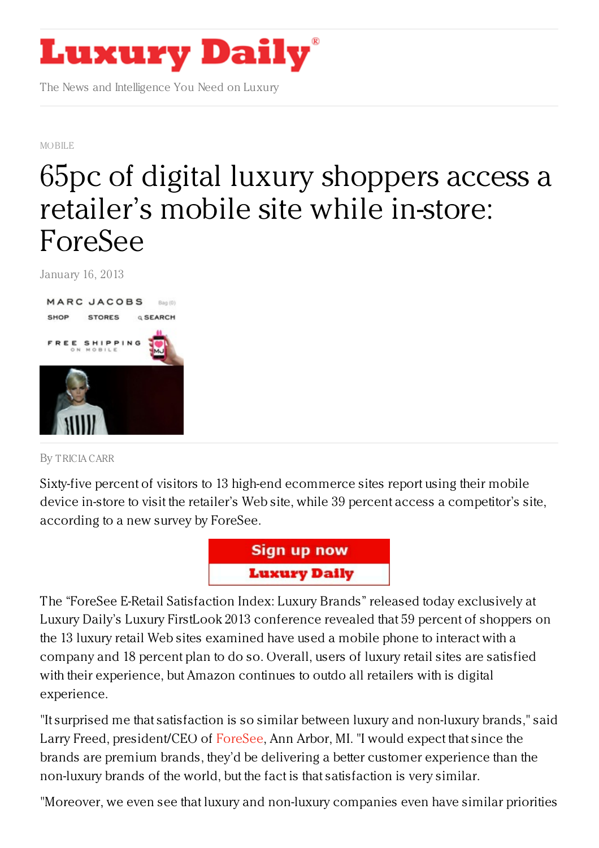

The News and Intelligence You Need on Luxury

[MOBILE](https://www.luxurydaily.com/category/news/mobile-news/)

## 65pc of digital luxury [shoppers](https://www.luxurydaily.com/65-percent-of-luxury-mobile-shoppers-visit-a-retailers-site-while-in-store-foresee/) access a retailer's mobile site while in-store: ForeSee

January 16, 2013



By [TRICIA](/author/tricia-carr) CARR

Sixty-five percent of visitors to 13 high-end ecommerce sites report using their mobile device in-store to visit the retailer's Web site, while 39 percent access a competitor's site, according to a new survey by ForeSee.



The "ForeSee E-Retail Satisfaction Index: Luxury Brands" released today exclusively at Luxury Daily's Luxury FirstLook 2013 conference revealed that 59 percent of shoppers on the 13 luxury retail Web sites examined have used a mobile phone to interact with a company and 18 percent plan to do so. Overall, users of luxury retail sites are satisfied with their experience, but Amazon continues to outdo all retailers with is digital experience.

"It surprised me that satisfaction is so similar between luxury and non-luxury brands," said Larry Freed, president/CEO of [ForeSee](http://www.foreseeresults.com/), Ann Arbor, MI. "I would expect that since the brands are premium brands, they'd be delivering a better customer experience than the non-luxury brands of the world, but the fact is that satisfaction is very similar.

"Moreover, we even see that luxury and non-luxury companies even have similar priorities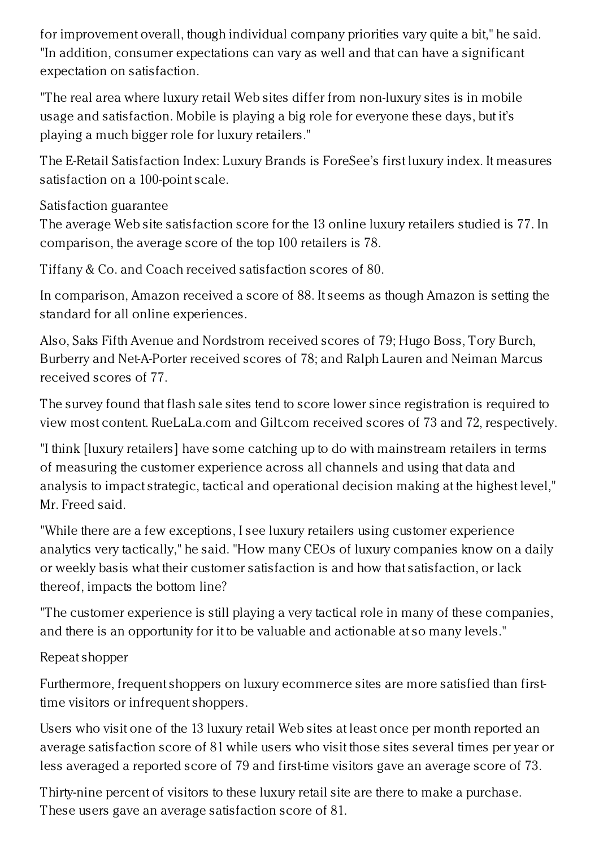for improvement overall, though individual company priorities vary quite a bit," he said. "In addition, consumer expectations can vary as well and that can have a significant expectation on satisfaction.

"The real area where luxury retail Web sites differ from non-luxury sites is in mobile usage and satisfaction. Mobile is playing a big role for everyone these days, but it's playing a much bigger role for luxury retailers."

The E-Retail Satisfaction Index: Luxury Brands is ForeSee's first luxury index. It measures satisfaction on a 100-point scale.

Satisfaction guarantee

The average Web site satisfaction score for the 13 online luxury retailers studied is 77. In comparison, the average score of the top 100 retailers is 78.

Tiffany & Co. and Coach received satisfaction scores of 80.

In comparison, Amazon received a score of 88. It seems as though Amazon is setting the standard for all online experiences.

Also, Saks Fifth Avenue and Nordstrom received scores of 79; Hugo Boss, Tory Burch, Burberry and Net-A-Porter received scores of 78; and Ralph Lauren and Neiman Marcus received scores of 77.

The survey found that flash sale sites tend to score lower since registration is required to view most content. RueLaLa.com and Gilt.com received scores of 73 and 72, respectively.

"I think [luxury retailers] have some catching up to do with mainstream retailers in terms of measuring the customer experience across all channels and using that data and analysis to impact strategic, tactical and operational decision making at the highest level," Mr. Freed said.

"While there are a few exceptions, I see luxury retailers using customer experience analytics very tactically," he said. "How many CEOs of luxury companies know on a daily or weekly basis what their customer satisfaction is and how that satisfaction, or lack thereof, impacts the bottom line?

"The customer experience is still playing a very tactical role in many of these companies, and there is an opportunity for it to be valuable and actionable at so many levels."

Repeat shopper

Furthermore, frequent shoppers on luxury ecommerce sites are more satisfied than firsttime visitors or infrequent shoppers.

Users who visit one of the 13 luxury retail Web sites at least once per month reported an average satisfaction score of 81 while users who visit those sites several times per year or less averaged a reported score of 79 and first-time visitors gave an average score of 73.

Thirty-nine percent of visitors to these luxury retail site are there to make a purchase. These users gave an average satisfaction score of 81.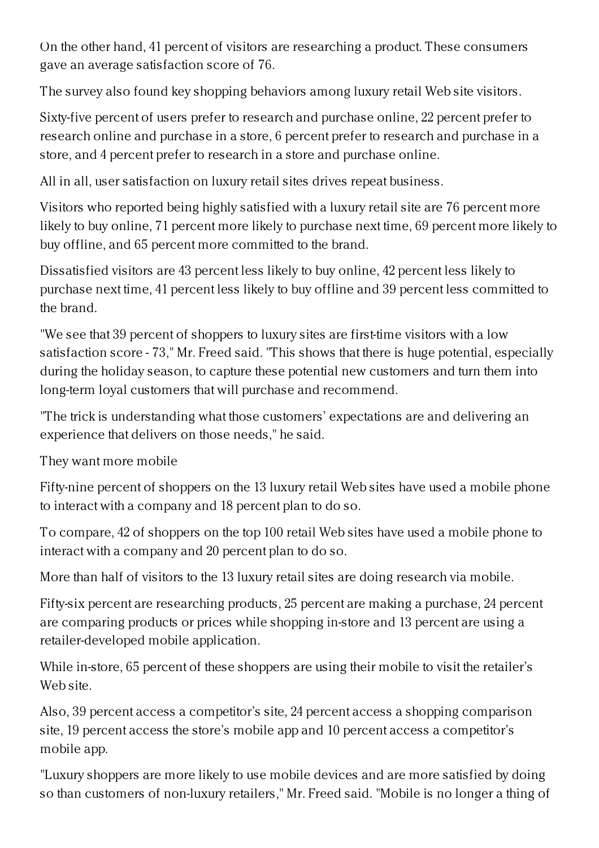On the other hand, 41 percent of visitors are researching a product. These consumers gave an average satisfaction score of 76.

The survey also found key shopping behaviors among luxury retail Web site visitors.

Sixty-five percent of users prefer to research and purchase online, 22 percent prefer to research online and purchase in a store, 6 percent prefer to research and purchase in a store, and 4 percent prefer to research in a store and purchase online.

All in all, user satisfaction on luxury retail sites drives repeat business.

Visitors who reported being highly satisfied with a luxury retail site are 76 percent more likely to buy online, 71 percent more likely to purchase next time, 69 percent more likely to buy offline, and 65 percent more committed to the brand.

Dissatisfied visitors are 43 percent less likely to buy online, 42 percent less likely to purchase next time, 41 percent less likely to buy offline and 39 percent less committed to the brand.

"We see that 39 percent of shoppers to luxury sites are first-time visitors with a low satisfaction score - 73," Mr. Freed said. "This shows that there is huge potential, especially during the holiday season, to capture these potential new customers and turn them into long-term loyal customers that will purchase and recommend.

"The trick is understanding what those customers' expectations are and delivering an experience that delivers on those needs," he said.

They want more mobile

Fifty-nine percent of shoppers on the 13 luxury retail Web sites have used a mobile phone to interact with a company and 18 percent plan to do so.

To compare, 42 of shoppers on the top 100 retail Web sites have used a mobile phone to interact with a company and 20 percent plan to do so.

More than half of visitors to the 13 luxury retail sites are doing research via mobile.

Fifty-six percent are researching products, 25 percent are making a purchase, 24 percent are comparing products or prices while shopping in-store and 13 percent are using a retailer-developed mobile application.

While in-store, 65 percent of these shoppers are using their mobile to visit the retailer's Web site.

Also, 39 percent access a competitor's site, 24 percent access a shopping comparison site, 19 percent access the store's mobile app and 10 percent access a competitor's mobile app.

"Luxury shoppers are more likely to use mobile devices and are more satisfied by doing so than customers of non-luxury retailers," Mr. Freed said. "Mobile is no longer a thing of